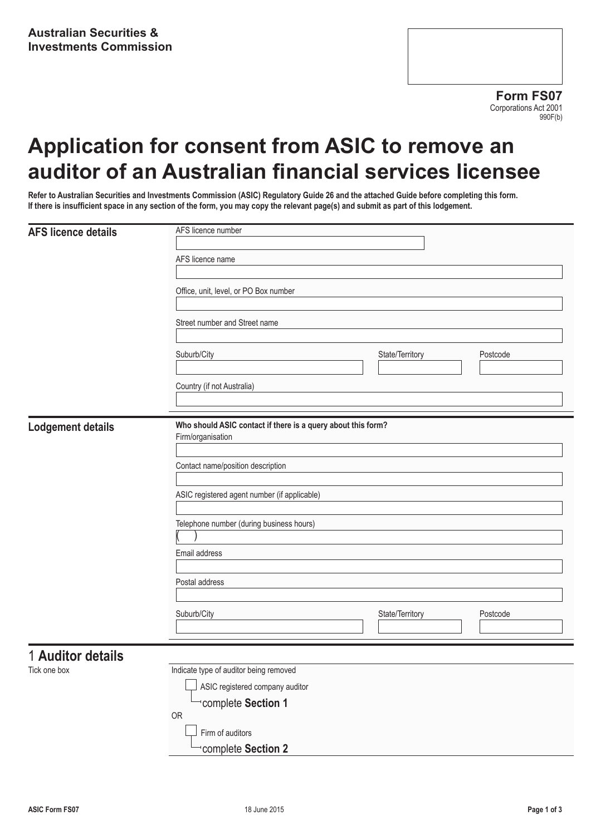# **Application for consent from ASIC to remove an auditor of an Australian financial services licensee**

**Refer to Australian Securities and Investments Commission (ASIC) Regulatory Guide 26 and the attached Guide before completing this form. If there is insufficient space in any section of the form, you may copy the relevant page(s) and submit as part of this lodgement.**

| <b>AFS licence details</b> | AFS licence number                                                                |                 |          |  |
|----------------------------|-----------------------------------------------------------------------------------|-----------------|----------|--|
|                            | AFS licence name                                                                  |                 |          |  |
|                            |                                                                                   |                 |          |  |
|                            | Office, unit, level, or PO Box number                                             |                 |          |  |
|                            | Street number and Street name                                                     |                 |          |  |
|                            | Suburb/City                                                                       | State/Territory | Postcode |  |
|                            | Country (if not Australia)                                                        |                 |          |  |
| <b>Lodgement details</b>   | Who should ASIC contact if there is a query about this form?<br>Firm/organisation |                 |          |  |
|                            | Contact name/position description                                                 |                 |          |  |
|                            | ASIC registered agent number (if applicable)                                      |                 |          |  |
|                            | Telephone number (during business hours)                                          |                 |          |  |
|                            | Email address                                                                     |                 |          |  |
|                            | Postal address                                                                    |                 |          |  |
|                            | Suburb/City                                                                       | State/Territory | Postcode |  |
| 1 Auditor details          |                                                                                   |                 |          |  |

Tick one box

| Indicate type of auditor being removed |
|----------------------------------------|
| ASIC registered company auditor        |
| complete Section 1                     |
| 0R                                     |
| Firm of auditors                       |
| complete Section 2                     |
|                                        |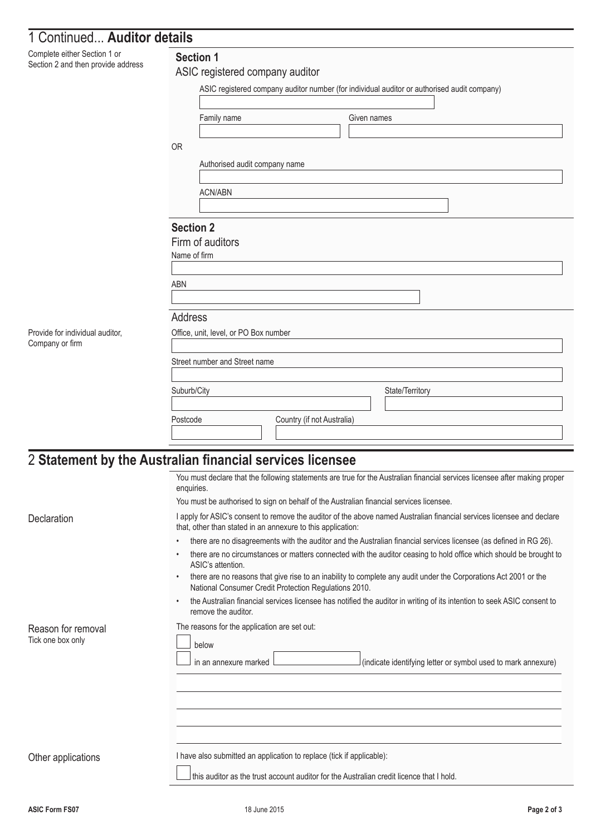| 1 Continued Auditor details                                        |                                                                                             |                 |
|--------------------------------------------------------------------|---------------------------------------------------------------------------------------------|-----------------|
| Complete either Section 1 or<br>Section 2 and then provide address | <b>Section 1</b><br>ASIC registered company auditor                                         |                 |
|                                                                    | ASIC registered company auditor number (for individual auditor or authorised audit company) |                 |
|                                                                    | Family name                                                                                 | Given names     |
|                                                                    | <b>OR</b>                                                                                   |                 |
|                                                                    | Authorised audit company name                                                               |                 |
|                                                                    |                                                                                             |                 |
|                                                                    | ACN/ABN                                                                                     |                 |
|                                                                    | <b>Section 2</b>                                                                            |                 |
|                                                                    | Firm of auditors<br>Name of firm                                                            |                 |
|                                                                    |                                                                                             |                 |
|                                                                    | <b>ABN</b>                                                                                  |                 |
|                                                                    | <b>Address</b>                                                                              |                 |
| Provide for individual auditor,                                    | Office, unit, level, or PO Box number                                                       |                 |
| Company or firm                                                    |                                                                                             |                 |
|                                                                    | Street number and Street name                                                               |                 |
|                                                                    | Suburb/City                                                                                 | State/Territory |
|                                                                    |                                                                                             |                 |

Postcode Country (if not Australia)

## 2 **Statement by the Australian financial services licensee**

|                                         | You must declare that the following statements are true for the Australian financial services licensee after making proper<br>enquiries.                                                                                                                                                                             |  |  |
|-----------------------------------------|----------------------------------------------------------------------------------------------------------------------------------------------------------------------------------------------------------------------------------------------------------------------------------------------------------------------|--|--|
|                                         | You must be authorised to sign on behalf of the Australian financial services licensee.                                                                                                                                                                                                                              |  |  |
| Declaration                             | I apply for ASIC's consent to remove the auditor of the above named Australian financial services licensee and declare<br>that, other than stated in an annexure to this application:                                                                                                                                |  |  |
|                                         | there are no disagreements with the auditor and the Australian financial services licensee (as defined in RG 26).                                                                                                                                                                                                    |  |  |
|                                         | there are no circumstances or matters connected with the auditor ceasing to hold office which should be brought to<br>ASIC's attention.<br>there are no reasons that give rise to an inability to complete any audit under the Corporations Act 2001 or the<br>National Consumer Credit Protection Regulations 2010. |  |  |
|                                         |                                                                                                                                                                                                                                                                                                                      |  |  |
|                                         | the Australian financial services licensee has notified the auditor in writing of its intention to seek ASIC consent to<br>remove the auditor.                                                                                                                                                                       |  |  |
| Reason for removal<br>Tick one box only | The reasons for the application are set out:<br>below                                                                                                                                                                                                                                                                |  |  |
|                                         | (indicate identifying letter or symbol used to mark annexure)<br>in an annexure marked                                                                                                                                                                                                                               |  |  |
|                                         |                                                                                                                                                                                                                                                                                                                      |  |  |
|                                         |                                                                                                                                                                                                                                                                                                                      |  |  |
|                                         |                                                                                                                                                                                                                                                                                                                      |  |  |
|                                         |                                                                                                                                                                                                                                                                                                                      |  |  |
| Other applications                      | I have also submitted an application to replace (tick if applicable):                                                                                                                                                                                                                                                |  |  |
|                                         | this auditor as the trust account auditor for the Australian credit licence that I hold.                                                                                                                                                                                                                             |  |  |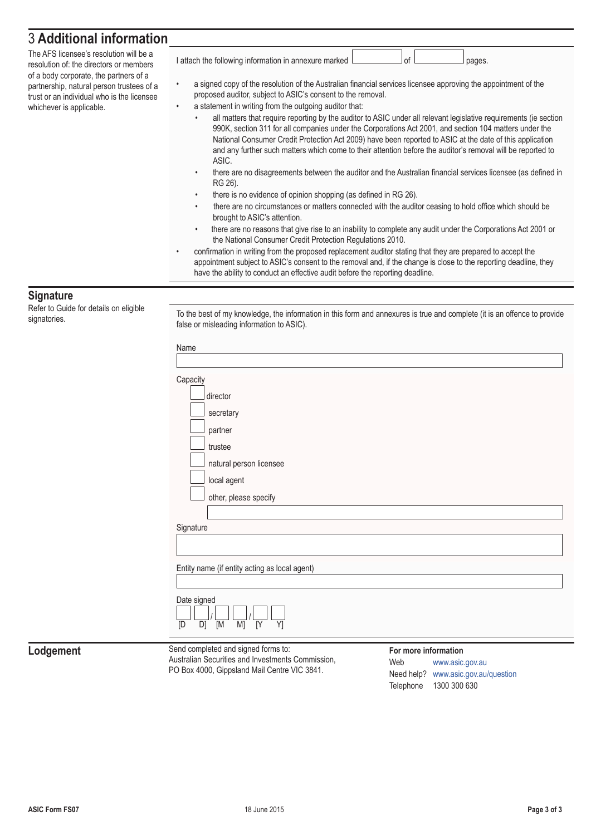### 3 **Additional information**

The AFS licensee's resolution will be a resolution of: the directors or members of a body corporate, the partners of a partnership, natural person trustees of a trust or an individual who is the licensee whichever is applicable.

I attach the following information in annexure marked  $\Box$  of  $\Box$  of pages.

- a signed copy of the resolution of the Australian financial services licensee approving the appointment of the
- proposed auditor, subject to ASIC's consent to the removal. a statement in writing from the outgoing auditor that:
	- all matters that require reporting by the auditor to ASIC under all relevant legislative requirements (ie section 990K, section 311 for all companies under the Corporations Act 2001, and section 104 matters under the National Consumer Credit Protection Act 2009) have been reported to ASIC at the date of this application and any further such matters which come to their attention before the auditor's removal will be reported to ASIC.
	- there are no disagreements between the auditor and the Australian financial services licensee (as defined in RG 26).
	- there is no evidence of opinion shopping (as defined in RG 26).
	- there are no circumstances or matters connected with the auditor ceasing to hold office which should be brought to ASIC's attention.
	- there are no reasons that give rise to an inability to complete any audit under the Corporations Act 2001 or the National Consumer Credit Protection Regulations 2010.
- confirmation in writing from the proposed replacement auditor stating that they are prepared to accept the appointment subject to ASIC's consent to the removal and, if the change is close to the reporting deadline, they have the ability to conduct an effective audit before the reporting deadline.

#### **Signature**

Refer to Guide for details on eligible

Signatories. To the best of my knowledge, the information in this form and annexures is true and complete (it is an offence to provide signatories. false or misleading information to ASIC).

| Name                                                                 |                        |
|----------------------------------------------------------------------|------------------------|
|                                                                      |                        |
| Capacity                                                             |                        |
| director                                                             |                        |
| secretary                                                            |                        |
| partner                                                              |                        |
| trustee                                                              |                        |
| natural person licensee                                              |                        |
| local agent                                                          |                        |
| other, please specify                                                |                        |
|                                                                      |                        |
| Signature                                                            |                        |
|                                                                      |                        |
|                                                                      |                        |
| Entity name (if entity acting as local agent)                        |                        |
|                                                                      |                        |
| Date signed                                                          |                        |
| $\overline{M}$<br>$\overline{Y}$<br>M<br>$\overline{Y}$<br>D]<br>[D] |                        |
|                                                                      |                        |
| Send completed and signed forms to:                                  | For more information   |
| Australian Securities and Investments Commission,                    | Web<br>www.asic.gov.au |

#### **Lodgement**

PO Box 4000, Gippsland Mail Centre VIC 3841.

Web [www.asic.gov.au](http://www.asic.gov.au) Need help? [www.asic.gov.au/question](http://www.asic.gov.au/question) Telephone 1300 300 630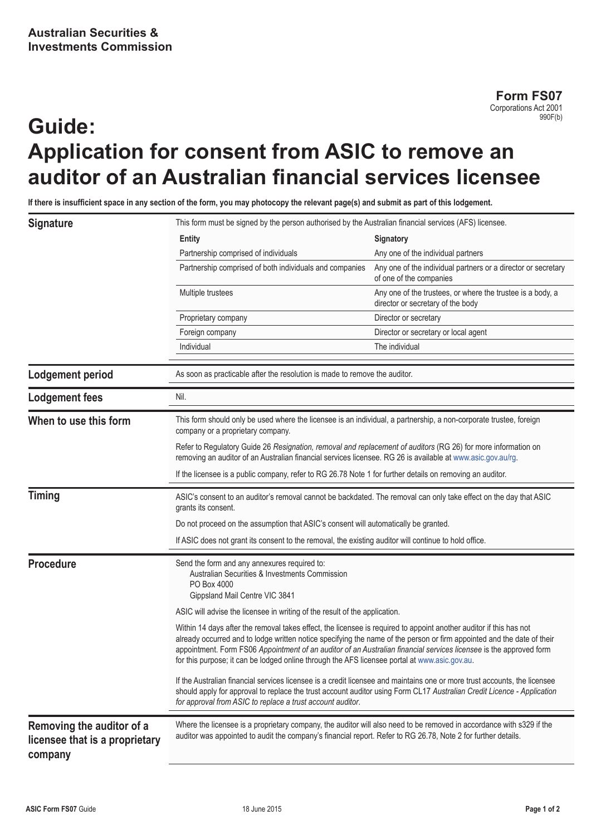**Form FS07** Corporations Act 2001 990F(b)

# **Guide: Application for consent from ASIC to remove an auditor of an Australian financial services licensee**

**If there is insufficient space in any section of the form, you may photocopy the relevant page(s) and submit as part of this lodgement.**

|                                                                                                                                                                                                                                                  | This form must be signed by the person authorised by the Australian financial services (AFS) licensee.                                                                                                                                                                                                                                                                                                                                                              |                                                                                                 |  |
|--------------------------------------------------------------------------------------------------------------------------------------------------------------------------------------------------------------------------------------------------|---------------------------------------------------------------------------------------------------------------------------------------------------------------------------------------------------------------------------------------------------------------------------------------------------------------------------------------------------------------------------------------------------------------------------------------------------------------------|-------------------------------------------------------------------------------------------------|--|
| <b>Signature</b>                                                                                                                                                                                                                                 |                                                                                                                                                                                                                                                                                                                                                                                                                                                                     |                                                                                                 |  |
|                                                                                                                                                                                                                                                  | <b>Entity</b>                                                                                                                                                                                                                                                                                                                                                                                                                                                       | Signatory                                                                                       |  |
|                                                                                                                                                                                                                                                  | Partnership comprised of individuals                                                                                                                                                                                                                                                                                                                                                                                                                                | Any one of the individual partners                                                              |  |
|                                                                                                                                                                                                                                                  | Partnership comprised of both individuals and companies                                                                                                                                                                                                                                                                                                                                                                                                             | Any one of the individual partners or a director or secretary<br>of one of the companies        |  |
|                                                                                                                                                                                                                                                  | Multiple trustees                                                                                                                                                                                                                                                                                                                                                                                                                                                   | Any one of the trustees, or where the trustee is a body, a<br>director or secretary of the body |  |
|                                                                                                                                                                                                                                                  | Proprietary company                                                                                                                                                                                                                                                                                                                                                                                                                                                 | Director or secretary                                                                           |  |
|                                                                                                                                                                                                                                                  | Foreign company                                                                                                                                                                                                                                                                                                                                                                                                                                                     | Director or secretary or local agent                                                            |  |
|                                                                                                                                                                                                                                                  | Individual                                                                                                                                                                                                                                                                                                                                                                                                                                                          | The individual                                                                                  |  |
| Lodgement period                                                                                                                                                                                                                                 | As soon as practicable after the resolution is made to remove the auditor.                                                                                                                                                                                                                                                                                                                                                                                          |                                                                                                 |  |
| <b>Lodgement fees</b>                                                                                                                                                                                                                            | Nil.                                                                                                                                                                                                                                                                                                                                                                                                                                                                |                                                                                                 |  |
| When to use this form<br>This form should only be used where the licensee is an individual, a partnership, a non-corporate trustee, foreign<br>company or a proprietary company.                                                                 |                                                                                                                                                                                                                                                                                                                                                                                                                                                                     |                                                                                                 |  |
|                                                                                                                                                                                                                                                  | Refer to Regulatory Guide 26 Resignation, removal and replacement of auditors (RG 26) for more information on<br>removing an auditor of an Australian financial services licensee. RG 26 is available at www.asic.gov.au/rg.                                                                                                                                                                                                                                        |                                                                                                 |  |
|                                                                                                                                                                                                                                                  | If the licensee is a public company, refer to RG 26.78 Note 1 for further details on removing an auditor.                                                                                                                                                                                                                                                                                                                                                           |                                                                                                 |  |
| <b>Timing</b><br>ASIC's consent to an auditor's removal cannot be backdated. The removal can only take effect on the day that ASIC<br>grants its consent.<br>Do not proceed on the assumption that ASIC's consent will automatically be granted. |                                                                                                                                                                                                                                                                                                                                                                                                                                                                     |                                                                                                 |  |
|                                                                                                                                                                                                                                                  |                                                                                                                                                                                                                                                                                                                                                                                                                                                                     |                                                                                                 |  |
|                                                                                                                                                                                                                                                  | If ASIC does not grant its consent to the removal, the existing auditor will continue to hold office.                                                                                                                                                                                                                                                                                                                                                               |                                                                                                 |  |
| <b>Procedure</b><br>Send the form and any annexures required to:<br>Australian Securities & Investments Commission<br>PO Box 4000<br>Gippsland Mail Centre VIC 3841                                                                              |                                                                                                                                                                                                                                                                                                                                                                                                                                                                     |                                                                                                 |  |
|                                                                                                                                                                                                                                                  | ASIC will advise the licensee in writing of the result of the application.                                                                                                                                                                                                                                                                                                                                                                                          |                                                                                                 |  |
|                                                                                                                                                                                                                                                  | Within 14 days after the removal takes effect, the licensee is required to appoint another auditor if this has not<br>already occurred and to lodge written notice specifying the name of the person or firm appointed and the date of their<br>appointment. Form FS06 Appointment of an auditor of an Australian financial services licensee is the approved form<br>for this purpose; it can be lodged online through the AFS licensee portal at www.asic.gov.au. |                                                                                                 |  |
|                                                                                                                                                                                                                                                  | If the Australian financial services licensee is a credit licensee and maintains one or more trust accounts, the licensee<br>should apply for approval to replace the trust account auditor using Form CL17 Australian Credit Licence - Application<br>for approval from ASIC to replace a trust account auditor.                                                                                                                                                   |                                                                                                 |  |
| Removing the auditor of a<br>licensee that is a proprietary<br>company                                                                                                                                                                           | Where the licensee is a proprietary company, the auditor will also need to be removed in accordance with s329 if the<br>auditor was appointed to audit the company's financial report. Refer to RG 26.78, Note 2 for further details.                                                                                                                                                                                                                               |                                                                                                 |  |
|                                                                                                                                                                                                                                                  |                                                                                                                                                                                                                                                                                                                                                                                                                                                                     |                                                                                                 |  |